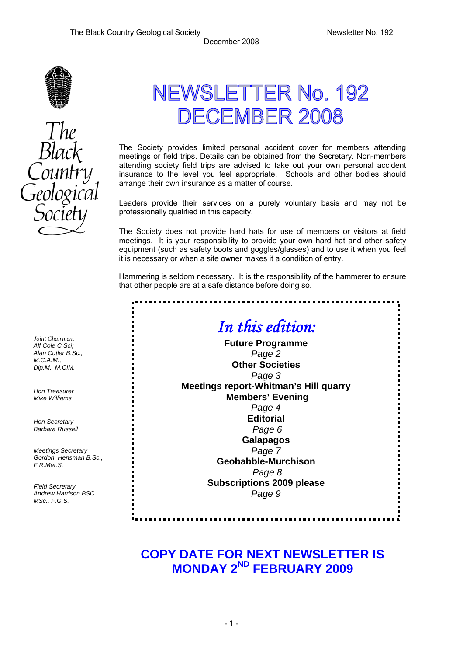

# NEWSLETTER No. 192 DECEMBER 2008

The Society provides limited personal accident cover for members attending meetings or field trips. Details can be obtained from the Secretary. Non-members attending society field trips are advised to take out your own personal accident insurance to the level you feel appropriate. Schools and other bodies should arrange their own insurance as a matter of course.

Leaders provide their services on a purely voluntary basis and may not be professionally qualified in this capacity.

The Society does not provide hard hats for use of members or visitors at field meetings. It is your responsibility to provide your own hard hat and other safety equipment (such as safety boots and goggles/glasses) and to use it when you feel it is necessary or when a site owner makes it a condition of entry.

Hammering is seldom necessary. It is the responsibility of the hammerer to ensure that other people are at a safe distance before doing so.

.............

## *In this edition:*

**Future Programme**  *Page 2*  **Other Societies**  *Page 3* **Meetings report-Whitman's Hill quarry Members' Evening**  *Page 4*  **Editorial**  *Page 6*  **Galapagos**  *Page 7*  **Geobabble-Murchison**  *Page 8*  **Subscriptions 2009 please**  *Page 9* 

*Alf Cole C.Sci; Alan Cutler B.Sc., M.C.A.M., Dip.M., M.CIM. Hon Treasurer* 

*Joint Chairmen:* 

*Mike Williams* 

*Hon Secretary Barbara Russell* 

*Meetings Secretary Gordon Hensman B.Sc., F.R.Met.S.* 

*Field Secretary Andrew Harrison BSC., MSc., F.G.S.* 

## **COPY DATE FOR NEXT NEWSLETTER IS MONDAY 2ND FEBRUARY 2009**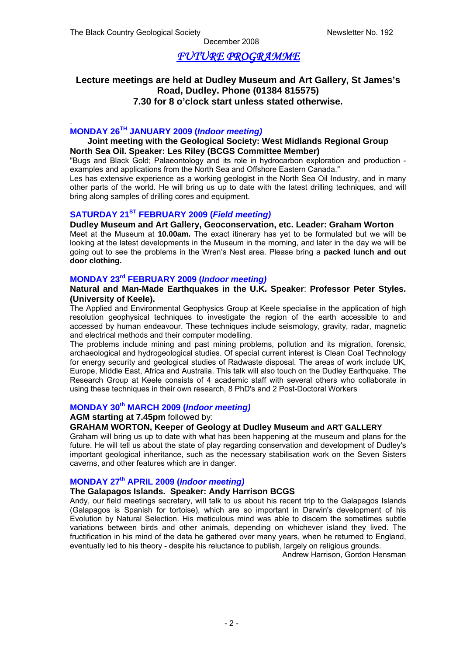## *FUTURE PROGRAMME*

#### **Lecture meetings are held at Dudley Museum and Art Gallery, St James's Road, Dudley. Phone (01384 815575) 7.30 for 8 o'clock start unless stated otherwise.**

#### . **MONDAY 26TH JANUARY 2009 (***Indoor meeting)*

#### **Joint meeting with the Geological Society: West Midlands Regional Group North Sea Oil. Speaker: Les Riley (BCGS Committee Member)**

"Bugs and Black Gold; Palaeontology and its role in hydrocarbon exploration and production examples and applications from the North Sea and Offshore Eastern Canada."

Les has extensive experience as a working geologist in the North Sea Oil Industry, and in many other parts of the world. He will bring us up to date with the latest drilling techniques, and will bring along samples of drilling cores and equipment.

#### **SATURDAY 21ST FEBRUARY 2009 (***Field meeting)*

#### **Dudley Museum and Art Gallery, Geoconservation, etc. Leader: Graham Worton**

Meet at the Museum at **10.00am.** The exact itinerary has yet to be formulated but we will be looking at the latest developments in the Museum in the morning, and later in the day we will be going out to see the problems in the Wren's Nest area. Please bring a **packed lunch and out door clothing.** 

#### **MONDAY 23rd FEBRUARY 2009 (***Indoor meeting)*

#### **Natural and Man-Made Earthquakes in the U.K. Speaker**: **Professor Peter Styles. (University of Keele).**

The Applied and Environmental Geophysics Group at Keele specialise in the application of high resolution geophysical techniques to investigate the region of the earth accessible to and accessed by human endeavour. These techniques include seismology, gravity, radar, magnetic and electrical methods and their computer modelling.

The problems include mining and past mining problems, pollution and its migration, forensic, archaeological and hydrogeological studies. Of special current interest is Clean Coal Technology for energy security and geological studies of Radwaste disposal. The areas of work include UK, Europe, Middle East, Africa and Australia. This talk will also touch on the Dudley Earthquake. The Research Group at Keele consists of 4 academic staff with several others who collaborate in using these techniques in their own research, 8 PhD's and 2 Post-Doctoral Workers

#### **MONDAY 30th MARCH 2009 (***Indoor meeting)*

#### **AGM starting at 7.45pm** followed by:

#### **GRAHAM WORTON, Keeper of Geology at Dudley Museum and ART GALLERY**

Graham will bring us up to date with what has been happening at the museum and plans for the future. He will tell us about the state of play regarding conservation and development of Dudley's important geological inheritance, such as the necessary stabilisation work on the Seven Sisters caverns, and other features which are in danger.

#### **MONDAY 27th APRIL 2009 (***Indoor meeting)*

#### **The Galapagos Islands. Speaker: Andy Harrison BCGS**

Andy, our field meetings secretary, will talk to us about his recent trip to the Galapagos Islands (Galapagos is Spanish for tortoise), which are so important in Darwin's development of his Evolution by Natural Selection. His meticulous mind was able to discern the sometimes subtle variations between birds and other animals, depending on whichever island they lived. The fructification in his mind of the data he gathered over many years, when he returned to England, eventually led to his theory - despite his reluctance to publish, largely on religious grounds.

Andrew Harrison, Gordon Hensman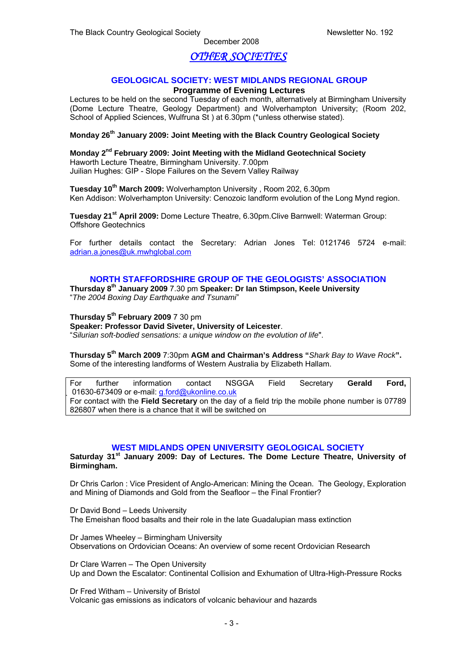## *OTHER SOCIETIES*

#### **GEOLOGICAL SOCIETY: WEST MIDLANDS REGIONAL GROUP**

#### **Programme of Evening Lectures**

Lectures to be held on the second Tuesday of each month, alternatively at Birmingham University (Dome Lecture Theatre, Geology Department) and Wolverhampton University; (Room 202, School of Applied Sciences, Wulfruna St ) at 6.30pm (\*unless otherwise stated).

#### **Monday 26th January 2009: Joint Meeting with the Black Country Geological Society**

**Monday 2nd February 2009: Joint Meeting with the Midland Geotechnical Society** Haworth Lecture Theatre, Birmingham University. 7.00pm Juilian Hughes: GIP - Slope Failures on the Severn Valley Railway

**Tuesday 10th March 2009:** Wolverhampton University , Room 202, 6.30pm Ken Addison: Wolverhampton University: Cenozoic landform evolution of the Long Mynd region.

**Tuesday 21st April 2009:** Dome Lecture Theatre, 6.30pm.Clive Barnwell: Waterman Group: Offshore Geotechnics

For further details contact the Secretary: Adrian Jones Tel: 0121746 5724 e-mail: [adrian.a.jones@uk.mwhglobal.com](mailto:adrian.a.jones@uk.mwhglobal.com)

#### **NORTH STAFFORDSHIRE GROUP OF THE GEOLOGISTS' ASSOCIATION**

**Thursday 8th January 2009** 7.30 pm **Speaker: Dr Ian Stimpson, Keele University** "*The 2004 Boxing Day Earthquake and Tsunami*"

**Thursday 5th February 2009** 7 30 pm

**Speaker: Professor David Siveter, University of Leicester**.

"*Silurian soft-bodied sensations: a unique window on the evolution of life*".

**Thursday 5th March 2009** 7:30pm **AGM and Chairman's Address "***Shark Bay to Wave Rock***".**  Some of the interesting landforms of Western Australia by Elizabeth Hallam.

For further information contact NSGGA Field Secretary **Gerald Ford,**  01630-673409 or e-mail: [g.ford@ukonline.co.uk](mailto:g.ford@ukonline.co.uk) For contact with the **Field Secretary** on the day of a field trip the mobile phone number is 07789 826807 when there is a chance that it will be switched on

#### **WEST MIDLANDS OPEN UNIVERSITY GEOLOGICAL SOCIETY**

**Saturday 31st January 2009: Day of Lectures. The Dome Lecture Theatre, University of Birmingham.** 

Dr Chris Carlon : Vice President of Anglo-American: Mining the Ocean. The Geology, Exploration and Mining of Diamonds and Gold from the Seafloor – the Final Frontier?

Dr David Bond – Leeds University The Emeishan flood basalts and their role in the late Guadalupian mass extinction

Dr James Wheeley – Birmingham University Observations on Ordovician Oceans: An overview of some recent Ordovician Research

Dr Clare Warren – The Open University Up and Down the Escalator: Continental Collision and Exhumation of Ultra-High-Pressure Rocks

Dr Fred Witham – University of Bristol Volcanic gas emissions as indicators of volcanic behaviour and hazards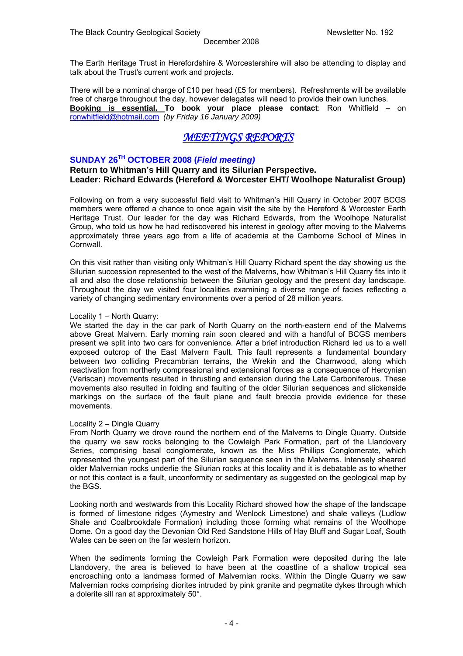The Earth Heritage Trust in Herefordshire & Worcestershire will also be attending to display and talk about the Trust's current work and projects.

There will be a nominal charge of £10 per head (£5 for members). Refreshments will be available free of charge throughout the day, however delegates will need to provide their own lunches. **Booking is essential. To book your place please contact**: Ron Whitfield – on [ronwhitfield@hotmail.com](mailto:ronwhitfield@hotmail.com) *(by Friday 16 January 2009)* 

## *MEETINGS REPORTS*

#### **SUNDAY 26TH OCTOBER 2008 (***Field meeting)*

**Return to Whitman's Hill Quarry and its Silurian Perspective. Leader: Richard Edwards (Hereford & Worcester EHT/ Woolhope Naturalist Group)** 

Following on from a very successful field visit to Whitman's Hill Quarry in October 2007 BCGS members were offered a chance to once again visit the site by the Hereford & Worcester Earth Heritage Trust. Our leader for the day was Richard Edwards, from the Woolhope Naturalist Group, who told us how he had rediscovered his interest in geology after moving to the Malverns approximately three years ago from a life of academia at the Camborne School of Mines in Cornwall.

On this visit rather than visiting only Whitman's Hill Quarry Richard spent the day showing us the Silurian succession represented to the west of the Malverns, how Whitman's Hill Quarry fits into it all and also the close relationship between the Silurian geology and the present day landscape. Throughout the day we visited four localities examining a diverse range of facies reflecting a variety of changing sedimentary environments over a period of 28 million years.

#### Locality 1 – North Quarry:

We started the day in the car park of North Quarry on the north-eastern end of the Malverns above Great Malvern. Early morning rain soon cleared and with a handful of BCGS members present we split into two cars for convenience. After a brief introduction Richard led us to a well exposed outcrop of the East Malvern Fault. This fault represents a fundamental boundary between two colliding Precambrian terrains, the Wrekin and the Charnwood, along which reactivation from northerly compressional and extensional forces as a consequence of Hercynian (Variscan) movements resulted in thrusting and extension during the Late Carboniferous. These movements also resulted in folding and faulting of the older Silurian sequences and slickenside markings on the surface of the fault plane and fault breccia provide evidence for these movements.

#### Locality 2 – Dingle Quarry

From North Quarry we drove round the northern end of the Malverns to Dingle Quarry. Outside the quarry we saw rocks belonging to the Cowleigh Park Formation, part of the Llandovery Series, comprising basal conglomerate, known as the Miss Phillips Conglomerate, which represented the youngest part of the Silurian sequence seen in the Malverns. Intensely sheared older Malvernian rocks underlie the Silurian rocks at this locality and it is debatable as to whether or not this contact is a fault, unconformity or sedimentary as suggested on the geological map by the BGS.

Looking north and westwards from this Locality Richard showed how the shape of the landscape is formed of limestone ridges (Aymestry and Wenlock Limestone) and shale valleys (Ludlow Shale and Coalbrookdale Formation) including those forming what remains of the Woolhope Dome. On a good day the Devonian Old Red Sandstone Hills of Hay Bluff and Sugar Loaf, South Wales can be seen on the far western horizon.

When the sediments forming the Cowleigh Park Formation were deposited during the late Llandovery, the area is believed to have been at the coastline of a shallow tropical sea encroaching onto a landmass formed of Malvernian rocks. Within the Dingle Quarry we saw Malvernian rocks comprising diorites intruded by pink granite and pegmatite dykes through which a dolerite sill ran at approximately 50°.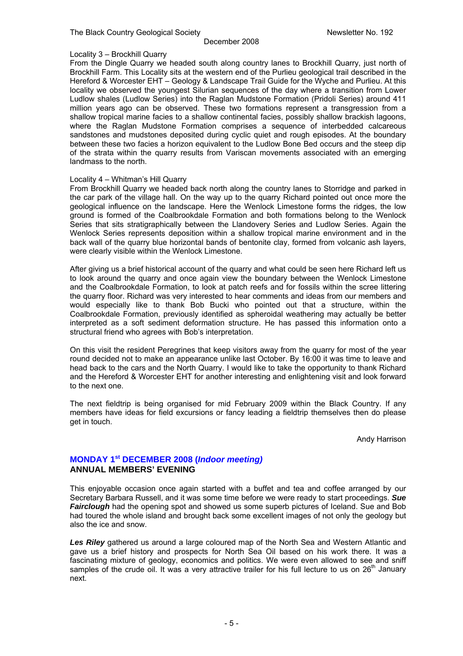#### Locality 3 – Brockhill Quarry

From the Dingle Quarry we headed south along country lanes to Brockhill Quarry, just north of Brockhill Farm. This Locality sits at the western end of the Purlieu geological trail described in the Hereford & Worcester EHT – Geology & Landscape Trail Guide for the Wyche and Purlieu. At this locality we observed the youngest Silurian sequences of the day where a transition from Lower Ludlow shales (Ludlow Series) into the Raglan Mudstone Formation (Pridoli Series) around 411 million years ago can be observed. These two formations represent a transgression from a shallow tropical marine facies to a shallow continental facies, possibly shallow brackish lagoons, where the Raglan Mudstone Formation comprises a sequence of interbedded calcareous sandstones and mudstones deposited during cyclic quiet and rough episodes. At the boundary between these two facies a horizon equivalent to the Ludlow Bone Bed occurs and the steep dip of the strata within the quarry results from Variscan movements associated with an emerging landmass to the north.

#### Locality 4 – Whitman's Hill Quarry

From Brockhill Quarry we headed back north along the country lanes to Storridge and parked in the car park of the village hall. On the way up to the quarry Richard pointed out once more the geological influence on the landscape. Here the Wenlock Limestone forms the ridges, the low ground is formed of the Coalbrookdale Formation and both formations belong to the Wenlock Series that sits stratigraphically between the Llandovery Series and Ludlow Series. Again the Wenlock Series represents deposition within a shallow tropical marine environment and in the back wall of the quarry blue horizontal bands of bentonite clay, formed from volcanic ash layers, were clearly visible within the Wenlock Limestone.

After giving us a brief historical account of the quarry and what could be seen here Richard left us to look around the quarry and once again view the boundary between the Wenlock Limestone and the Coalbrookdale Formation, to look at patch reefs and for fossils within the scree littering the quarry floor. Richard was very interested to hear comments and ideas from our members and would especially like to thank Bob Bucki who pointed out that a structure, within the Coalbrookdale Formation, previously identified as spheroidal weathering may actually be better interpreted as a soft sediment deformation structure. He has passed this information onto a structural friend who agrees with Bob's interpretation.

On this visit the resident Peregrines that keep visitors away from the quarry for most of the year round decided not to make an appearance unlike last October. By 16:00 it was time to leave and head back to the cars and the North Quarry. I would like to take the opportunity to thank Richard and the Hereford & Worcester EHT for another interesting and enlightening visit and look forward to the next one.

The next fieldtrip is being organised for mid February 2009 within the Black Country. If any members have ideas for field excursions or fancy leading a fieldtrip themselves then do please get in touch.

Andy Harrison

#### **MONDAY 1st DECEMBER 2008 (***Indoor meeting)*  **ANNUAL MEMBERS' EVENING**

This enjoyable occasion once again started with a buffet and tea and coffee arranged by our Secretary Barbara Russell, and it was some time before we were ready to start proceedings. *Sue Fairclough* had the opening spot and showed us some superb pictures of Iceland. Sue and Bob had toured the whole island and brought back some excellent images of not only the geology but also the ice and snow.

*Les Riley* gathered us around a large coloured map of the North Sea and Western Atlantic and gave us a brief history and prospects for North Sea Oil based on his work there. It was a fascinating mixture of geology, economics and politics. We were even allowed to see and sniff samples of the crude oil. It was a very attractive trailer for his full lecture to us on 26<sup>th</sup> January next.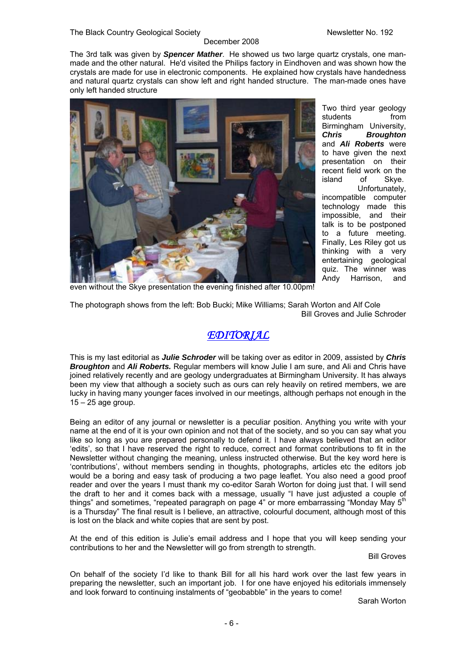#### The Black Country Geological Society Newsletter No. 192

#### December 2008

The 3rd talk was given by *Spencer Mather*. He showed us two large quartz crystals, one manmade and the other natural. He'd visited the Philips factory in Eindhoven and was shown how the crystals are made for use in electronic components. He explained how crystals have handedness and natural quartz crystals can show left and right handed structure. The man-made ones have only left handed structure



Two third year geology students from Birmingham University, *Chris Broughton* and *Ali Roberts* were to have given the next presentation on their recent field work on the island of Skye. Unfortunately, incompatible computer technology made this impossible, and their talk is to be postponed to a future meeting. Finally, Les Riley got us thinking with a very entertaining geological quiz. The winner was Andy Harrison, and

even without the Skye presentation the evening finished after 10.00pm!

The photograph shows from the left: Bob Bucki; Mike Williams; Sarah Worton and Alf Cole Bill Groves and Julie Schroder

## *EDITORIAL*

This is my last editorial as *Julie Schroder* will be taking over as editor in 2009, assisted by *Chris Broughton* and *Ali Roberts.* Regular members will know Julie I am sure, and Ali and Chris have joined relatively recently and are geology undergraduates at Birmingham University. It has always been my view that although a society such as ours can rely heavily on retired members, we are lucky in having many younger faces involved in our meetings, although perhaps not enough in the  $15 - 25$  age group.

Being an editor of any journal or newsletter is a peculiar position. Anything you write with your name at the end of it is your own opinion and not that of the society, and so you can say what you like so long as you are prepared personally to defend it. I have always believed that an editor 'edits', so that I have reserved the right to reduce, correct and format contributions to fit in the Newsletter without changing the meaning, unless instructed otherwise. But the key word here is 'contributions', without members sending in thoughts, photographs, articles etc the editors job would be a boring and easy task of producing a two page leaflet. You also need a good proof reader and over the years I must thank my co-editor Sarah Worton for doing just that. I will send the draft to her and it comes back with a message, usually "I have just adjusted a couple of things" and sometimes, "repeated paragraph on page 4" or more embarrassing "Monday May 5<sup>th</sup> is a Thursday" The final result is I believe, an attractive, colourful document, although most of this is lost on the black and white copies that are sent by post.

At the end of this edition is Julie's email address and I hope that you will keep sending your contributions to her and the Newsletter will go from strength to strength.

Bill Groves

On behalf of the society I'd like to thank Bill for all his hard work over the last few years in preparing the newsletter, such an important job. I for one have enjoyed his editorials immensely and look forward to continuing instalments of "geobabble" in the years to come!

Sarah Worton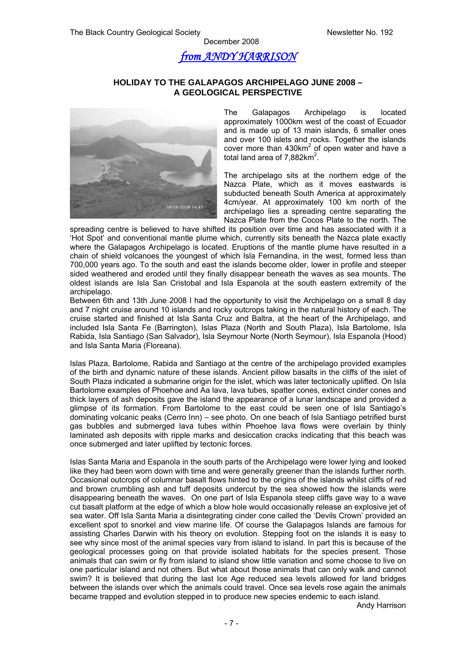## *from ANDY HARRISON*

#### **HOLIDAY TO THE GALAPAGOS ARCHIPELAGO JUNE 2008 – A GEOLOGICAL PERSPECTIVE**



The Galapagos Archipelago is located approximately 1000km west of the coast of Ecuador and is made up of 13 main islands, 6 smaller ones and over 100 islets and rocks. Together the islands cover more than  $430 \text{km}^2$  of open water and have a total land area of 7,882 $km^2$ .

The archipelago sits at the northern edge of the Nazca Plate, which as it moves eastwards is subducted beneath South America at approximately 4cm/year. At approximately 100 km north of the archipelago lies a spreading centre separating the Nazca Plate from the Cocos Plate to the north. The

spreading centre is believed to have shifted its position over time and has associated with it a 'Hot Spot' and conventional mantle plume which, currently sits beneath the Nazca plate exactly where the Galapagos Archipelago is located. Eruptions of the mantle plume have resulted in a chain of shield volcanoes the youngest of which Isla Fernandina, in the west, formed less than 700,000 years ago. To the south and east the islands become older, lower in profile and steeper sided weathered and eroded until they finally disappear beneath the waves as sea mounts. The oldest islands are Isla San Cristobal and Isla Espanola at the south eastern extremity of the archipelago.

Between 6th and 13th June 2008 I had the opportunity to visit the Archipelago on a small 8 day and 7 night cruise around 10 islands and rocky outcrops taking in the natural history of each. The cruise started and finished at Isla Santa Cruz and Baltra, at the heart of the Archipelago, and included Isla Santa Fe (Barrington), Islas Plaza (North and South Plaza), Isla Bartolome, Isla Rabida, Isla Santiago (San Salvador), Isla Seymour Norte (North Seymour), Isla Espanola (Hood) and Isla Santa Maria (Floreana).

Islas Plaza, Bartolome, Rabida and Santiago at the centre of the archipelago provided examples of the birth and dynamic nature of these islands. Ancient pillow basalts in the cliffs of the islet of South Plaza indicated a submarine origin for the islet, which was later tectonically uplifted. On Isla Bartolome examples of Phoehoe and Aa lava, lava tubes, spatter cones, extinct cinder cones and thick layers of ash deposits gave the island the appearance of a lunar landscape and provided a glimpse of its formation. From Bartolome to the east could be seen one of Isla Santiago's dominating volcanic peaks (Cerro Inn) – see photo. On one beach of Isla Santiago petrified burst gas bubbles and submerged lava tubes within Phoehoe lava flows were overlain by thinly laminated ash deposits with ripple marks and desiccation cracks indicating that this beach was once submerged and later uplifted by tectonic forces.

Islas Santa Maria and Espanola in the south parts of the Archipelago were lower lying and looked like they had been worn down with time and were generally greener than the islands further north. Occasional outcrops of columnar basalt flows hinted to the origins of the islands whilst cliffs of red and brown crumbling ash and tuff deposits undercut by the sea showed how the islands were disappearing beneath the waves. On one part of Isla Espanola steep cliffs gave way to a wave cut basalt platform at the edge of which a blow hole would occasionally release an explosive jet of sea water. Off Isla Santa Maria a disintegrating cinder cone called the 'Devils Crown' provided an excellent spot to snorkel and view marine life. Of course the Galapagos Islands are famous for assisting Charles Darwin with his theory on evolution. Stepping foot on the islands it is easy to see why since most of the animal species vary from island to island. In part this is because of the geological processes going on that provide isolated habitats for the species present. Those animals that can swim or fly from island to island show little variation and some choose to live on one particular island and not others. But what about those animals that can only walk and cannot swim? It is believed that during the last Ice Age reduced sea levels allowed for land bridges between the islands over which the animals could travel. Once sea levels rose again the animals became trapped and evolution stepped in to produce new species endemic to each island.

Andy Harrison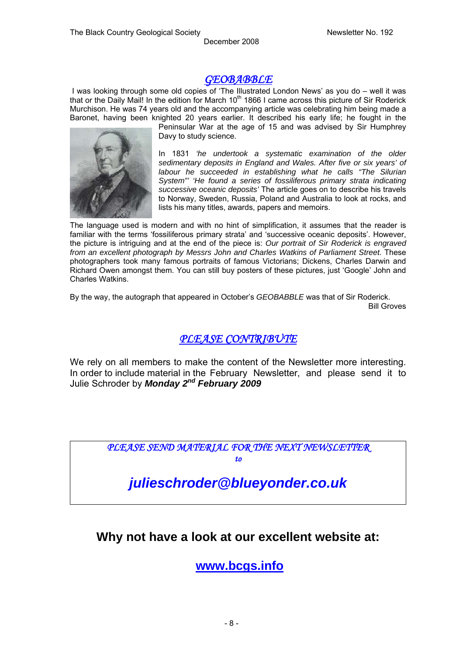## *GEOBABBLE*

I was looking through some old copies of 'The Illustrated London News' as you do – well it was that or the Daily Mail! In the edition for March 10<sup>th</sup> 1866 I came across this picture of Sir Roderick Murchison. He was 74 years old and the accompanying article was celebrating him being made a Baronet, having been knighted 20 years earlier. It described his early life; he fought in the



Peninsular War at the age of 15 and was advised by Sir Humphrey Davy to study science.

In 1831 *'he undertook a systematic examination of the older sedimentary deposits in England and Wales. After five or six years' of labour he succeeded in establishing what he calls "The Silurian System"' 'He found a series of fossiliferous primary strata indicating successive oceanic deposits'* The article goes on to describe his travels to Norway, Sweden, Russia, Poland and Australia to look at rocks, and lists his many titles, awards, papers and memoirs.

The language used is modern and with no hint of simplification, it assumes that the reader is familiar with the terms 'fossiliferous primary strata' and 'successive oceanic deposits'. However, the picture is intriguing and at the end of the piece is: *Our portrait of Sir Roderick is engraved from an excellent photograph by Messrs John and Charles Watkins of Parliament Street.* These photographers took many famous portraits of famous Victorians; Dickens, Charles Darwin and Richard Owen amongst them. You can still buy posters of these pictures, just 'Google' John and Charles Watkins.

By the way, the autograph that appeared in October's *GEOBABBLE* was that of Sir Roderick.

Bill Groves

## *PLEASE CONTRIBUTE*

We rely on all members to make the content of the Newsletter more interesting. In order to include material in the February Newsletter, and please send it to Julie Schroder by *Monday 2nd February 2009* 

*PLEASE SEND MATERIAL FOR THE NEXT NEWSLETTER* 

*to* 

*julieschroder@blueyonder.co.uk* 

## **Why not have a look at our excellent website at:**

**[www.bcgs.info](http://www.bcgs.info/)**